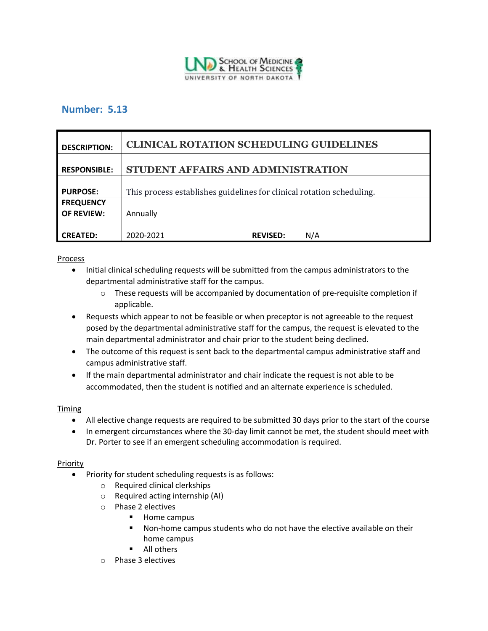

## **Number: 5.13**

| <b>DESCRIPTION:</b> | <b>CLINICAL ROTATION SCHEDULING GUIDELINES</b>                        |                 |     |
|---------------------|-----------------------------------------------------------------------|-----------------|-----|
| <b>RESPONSIBLE:</b> | STUDENT AFFAIRS AND ADMINISTRATION                                    |                 |     |
| <b>PURPOSE:</b>     | This process establishes guidelines for clinical rotation scheduling. |                 |     |
| <b>FREQUENCY</b>    |                                                                       |                 |     |
| <b>OF REVIEW:</b>   | Annually                                                              |                 |     |
|                     |                                                                       |                 |     |
| <b>CREATED:</b>     | 2020-2021                                                             | <b>REVISED:</b> | N/A |

## Process

- Initial clinical scheduling requests will be submitted from the campus administrators to the departmental administrative staff for the campus.
	- $\circ$  These requests will be accompanied by documentation of pre-requisite completion if applicable.
- Requests which appear to not be feasible or when preceptor is not agreeable to the request posed by the departmental administrative staff for the campus, the request is elevated to the main departmental administrator and chair prior to the student being declined.
- The outcome of this request is sent back to the departmental campus administrative staff and campus administrative staff.
- If the main departmental administrator and chair indicate the request is not able to be accommodated, then the student is notified and an alternate experience is scheduled.

## Timing

- All elective change requests are required to be submitted 30 days prior to the start of the course
- In emergent circumstances where the 30-day limit cannot be met, the student should meet with Dr. Porter to see if an emergent scheduling accommodation is required.

## Priority

- Priority for student scheduling requests is as follows:
	- o Required clinical clerkships
	- o Required acting internship (AI)
	- o Phase 2 electives
		- Home campus
		- Non-home campus students who do not have the elective available on their home campus
		- All others
	- o Phase 3 electives